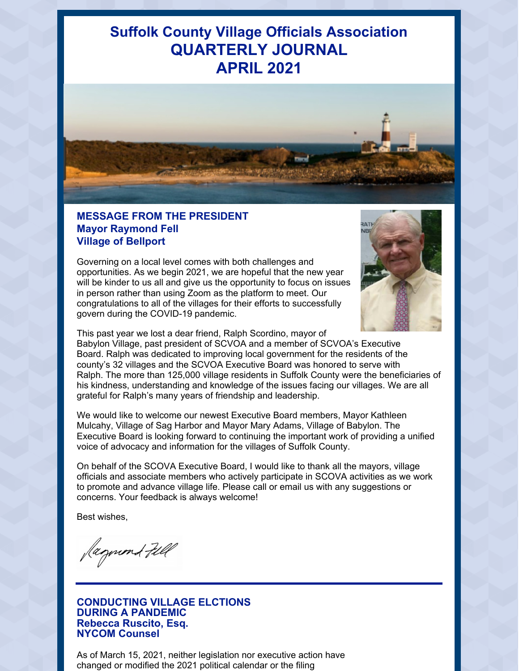## **Suffolk County Village Officials Association QUARTERLY JOURNAL APRIL 2021**



## **MESSAGE FROM THE PRESIDENT Mayor Raymond Fell Village of Bellport**

Governing on a local level comes with both challenges and opportunities. As we begin 2021, we are hopeful that the new year will be kinder to us all and give us the opportunity to focus on issues in person rather than using Zoom as the platform to meet. Our congratulations to all of the villages for their efforts to successfully govern during the COVID-19 pandemic.



This past year we lost a dear friend, Ralph Scordino, mayor of

Babylon Village, past president of SCVOA and a member of SCVOA's Executive Board. Ralph was dedicated to improving local government for the residents of the county's 32 villages and the SCVOA Executive Board was honored to serve with Ralph. The more than 125,000 village residents in Suffolk County were the beneficiaries of his kindness, understanding and knowledge of the issues facing our villages. We are all grateful for Ralph's many years of friendship and leadership.

We would like to welcome our newest Executive Board members, Mayor Kathleen Mulcahy, Village of Sag Harbor and Mayor Mary Adams, Village of Babylon. The Executive Board is looking forward to continuing the important work of providing a unified voice of advocacy and information for the villages of Suffolk County.

On behalf of the SCOVA Executive Board, I would like to thank all the mayors, village officials and associate members who actively participate in SCOVA activities as we work to promote and advance village life. Please call or email us with any suggestions or concerns. Your feedback is always welcome!

Best wishes,

Jagmond Fill

#### **CONDUCTING VILLAGE ELCTIONS DURING A PANDEMIC Rebecca Ruscito, Esq. NYCOM Counsel**

As of March 15, 2021, neither legislation nor executive action have changed or modified the 2021 political calendar or the filing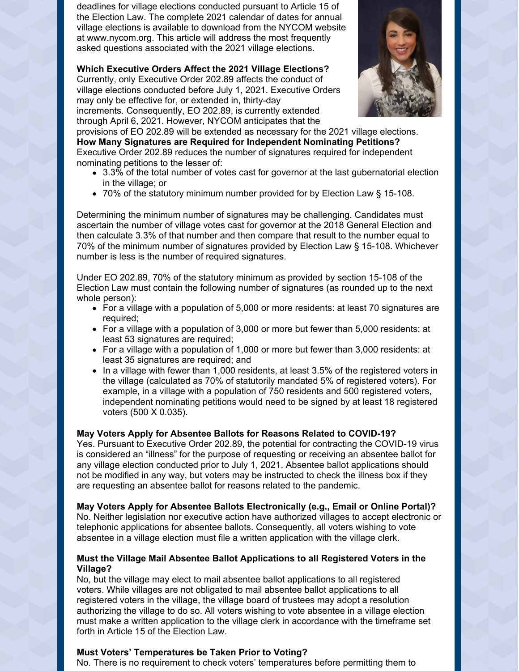deadlines for village elections conducted pursuant to Article 15 of the Election Law. The complete 2021 calendar of dates for annual village elections is available to download from the NYCOM website at www.nycom.org. This article will address the most frequently asked questions associated with the 2021 village elections.

**Which Executive Orders Affect the 2021 Village Elections?** Currently, only Executive Order 202.89 affects the conduct of village elections conducted before July 1, 2021. Executive Orders may only be effective for, or extended in, thirty-day increments. Consequently, EO 202.89, is currently extended through April 6, 2021. However, NYCOM anticipates that the



provisions of EO 202.89 will be extended as necessary for the 2021 village elections. **How Many Signatures are Required for Independent Nominating Petitions?** Executive Order 202.89 reduces the number of signatures required for independent nominating petitions to the lesser of:

- 3.3% of the total number of votes cast for governor at the last gubernatorial election in the village; or
- 70% of the statutory minimum number provided for by Election Law § 15-108.

Determining the minimum number of signatures may be challenging. Candidates must ascertain the number of village votes cast for governor at the 2018 General Election and then calculate 3.3% of that number and then compare that result to the number equal to 70% of the minimum number of signatures provided by Election Law § 15-108. Whichever number is less is the number of required signatures.

Under EO 202.89, 70% of the statutory minimum as provided by section 15-108 of the Election Law must contain the following number of signatures (as rounded up to the next whole person):

- For a village with a population of 5,000 or more residents: at least 70 signatures are required;
- For a village with a population of 3,000 or more but fewer than 5,000 residents: at least 53 signatures are required;
- For a village with a population of 1,000 or more but fewer than 3,000 residents: at least 35 signatures are required; and
- In a village with fewer than 1,000 residents, at least 3.5% of the registered voters in the village (calculated as 70% of statutorily mandated 5% of registered voters). For example, in a village with a population of 750 residents and 500 registered voters, independent nominating petitions would need to be signed by at least 18 registered voters (500 X 0.035).

### **May Voters Apply for Absentee Ballots for Reasons Related to COVID-19?**

Yes. Pursuant to Executive Order 202.89, the potential for contracting the COVID-19 virus is considered an "illness" for the purpose of requesting or receiving an absentee ballot for any village election conducted prior to July 1, 2021. Absentee ballot applications should not be modified in any way, but voters may be instructed to check the illness box if they are requesting an absentee ballot for reasons related to the pandemic.

**May Voters Apply for Absentee Ballots Electronically (e.g., Email or Online Portal)?** No. Neither legislation nor executive action have authorized villages to accept electronic or telephonic applications for absentee ballots. Consequently, all voters wishing to vote absentee in a village election must file a written application with the village clerk.

### **Must the Village Mail Absentee Ballot Applications to all Registered Voters in the Village?**

No, but the village may elect to mail absentee ballot applications to all registered voters. While villages are not obligated to mail absentee ballot applications to all registered voters in the village, the village board of trustees may adopt a resolution authorizing the village to do so. All voters wishing to vote absentee in a village election must make a written application to the village clerk in accordance with the timeframe set forth in Article 15 of the Election Law.

### **Must Voters' Temperatures be Taken Prior to Voting?**

No. There is no requirement to check voters' temperatures before permitting them to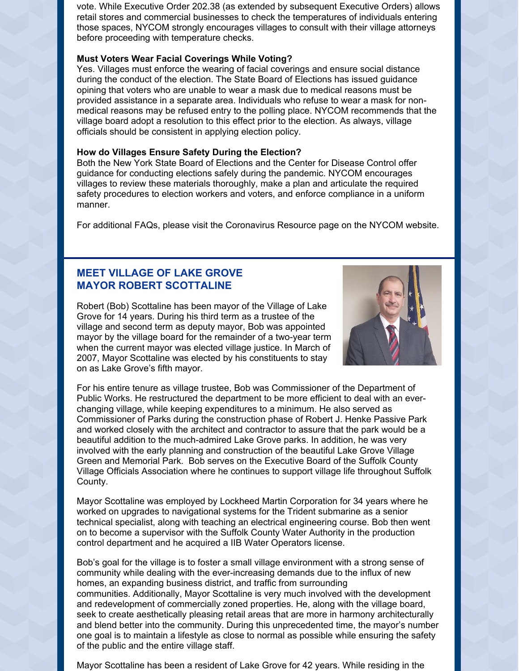vote. While Executive Order 202.38 (as extended by subsequent Executive Orders) allows retail stores and commercial businesses to check the temperatures of individuals entering those spaces, NYCOM strongly encourages villages to consult with their village attorneys before proceeding with temperature checks.

#### **Must Voters Wear Facial Coverings While Voting?**

Yes. Villages must enforce the wearing of facial coverings and ensure social distance during the conduct of the election. The State Board of Elections has issued guidance opining that voters who are unable to wear a mask due to medical reasons must be provided assistance in a separate area. Individuals who refuse to wear a mask for nonmedical reasons may be refused entry to the polling place. NYCOM recommends that the village board adopt a resolution to this effect prior to the election. As always, village officials should be consistent in applying election policy.

#### **How do Villages Ensure Safety During the Election?**

Both the New York State Board of Elections and the Center for Disease Control offer guidance for conducting elections safely during the pandemic. NYCOM encourages villages to review these materials thoroughly, make a plan and articulate the required safety procedures to election workers and voters, and enforce compliance in a uniform manner.

For additional FAQs, please visit the Coronavirus Resource page on the NYCOM website.

## **MEET VILLAGE OF LAKE GROVE MAYOR ROBERT SCOTTALINE**

Robert (Bob) Scottaline has been mayor of the Village of Lake Grove for 14 years. During his third term as a trustee of the village and second term as deputy mayor, Bob was appointed mayor by the village board for the remainder of a two-year term when the current mayor was elected village justice. In March of 2007, Mayor Scottaline was elected by his constituents to stay on as Lake Grove's fifth mayor.



For his entire tenure as village trustee, Bob was Commissioner of the Department of Public Works. He restructured the department to be more efficient to deal with an everchanging village, while keeping expenditures to a minimum. He also served as Commissioner of Parks during the construction phase of Robert J. Henke Passive Park and worked closely with the architect and contractor to assure that the park would be a beautiful addition to the much-admired Lake Grove parks. In addition, he was very involved with the early planning and construction of the beautiful Lake Grove Village Green and Memorial Park. Bob serves on the Executive Board of the Suffolk County Village Officials Association where he continues to support village life throughout Suffolk County.

Mayor Scottaline was employed by Lockheed Martin Corporation for 34 years where he worked on upgrades to navigational systems for the Trident submarine as a senior technical specialist, along with teaching an electrical engineering course. Bob then went on to become a supervisor with the Suffolk County Water Authority in the production control department and he acquired a IIB Water Operators license.

Bob's goal for the village is to foster a small village environment with a strong sense of community while dealing with the ever-increasing demands due to the influx of new homes, an expanding business district, and traffic from surrounding communities. Additionally, Mayor Scottaline is very much involved with the development and redevelopment of commercially zoned properties. He, along with the village board, seek to create aesthetically pleasing retail areas that are more in harmony architecturally and blend better into the community. During this unprecedented time, the mayor's number one goal is to maintain a lifestyle as close to normal as possible while ensuring the safety of the public and the entire village staff.

Mayor Scottaline has been a resident of Lake Grove for 42 years. While residing in the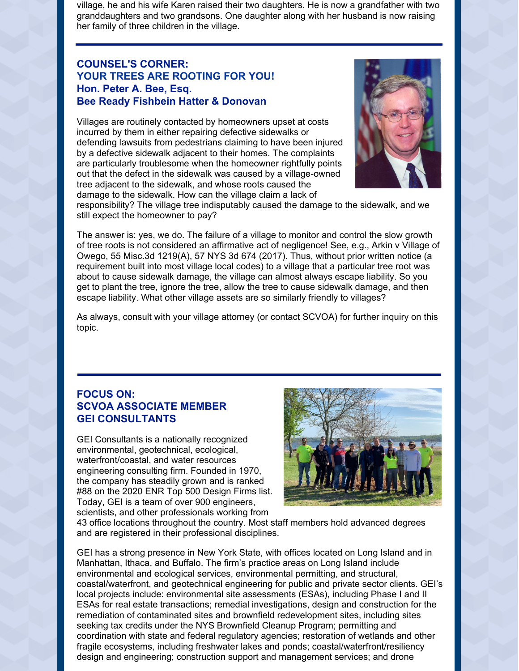village, he and his wife Karen raised their two daughters. He is now a grandfather with two granddaughters and two grandsons. One daughter along with her husband is now raising her family of three children in the village.

## **COUNSEL'S CORNER: YOUR TREES ARE ROOTING FOR YOU! Hon. Peter A. Bee, Esq. Bee Ready Fishbein Hatter & Donovan**

Villages are routinely contacted by homeowners upset at costs incurred by them in either repairing defective sidewalks or defending lawsuits from pedestrians claiming to have been injured by a defective sidewalk adjacent to their homes. The complaints are particularly troublesome when the homeowner rightfully points out that the defect in the sidewalk was caused by a village-owned tree adjacent to the sidewalk, and whose roots caused the damage to the sidewalk. How can the village claim a lack of



responsibility? The village tree indisputably caused the damage to the sidewalk, and we still expect the homeowner to pay?

The answer is: yes, we do. The failure of a village to monitor and control the slow growth of tree roots is not considered an affirmative act of negligence! See, e.g., Arkin v Village of Owego, 55 Misc.3d 1219(A), 57 NYS 3d 674 (2017). Thus, without prior written notice (a requirement built into most village local codes) to a village that a particular tree root was about to cause sidewalk damage, the village can almost always escape liability. So you get to plant the tree, ignore the tree, allow the tree to cause sidewalk damage, and then escape liability. What other village assets are so similarly friendly to villages?

As always, consult with your village attorney (or contact SCVOA) for further inquiry on this topic.

## **FOCUS ON: SCVOA ASSOCIATE MEMBER GEI CONSULTANTS**

GEI Consultants is a nationally recognized environmental, geotechnical, ecological, waterfront/coastal, and water resources engineering consulting firm. Founded in 1970, the company has steadily grown and is ranked #88 on the 2020 ENR Top 500 Design Firms list. Today, GEI is a team of over 900 engineers, scientists, and other professionals working from



43 office locations throughout the country. Most staff members hold advanced degrees and are registered in their professional disciplines.

GEI has a strong presence in New York State, with offices located on Long Island and in Manhattan, Ithaca, and Buffalo. The firm's practice areas on Long Island include environmental and ecological services, environmental permitting, and structural, coastal/waterfront, and geotechnical engineering for public and private sector clients. GEI's local projects include: environmental site assessments (ESAs), including Phase I and II ESAs for real estate transactions; remedial investigations, design and construction for the remediation of contaminated sites and brownfield redevelopment sites, including sites seeking tax credits under the NYS Brownfield Cleanup Program; permitting and coordination with state and federal regulatory agencies; restoration of wetlands and other fragile ecosystems, including freshwater lakes and ponds; coastal/waterfront/resiliency design and engineering; construction support and management services; and drone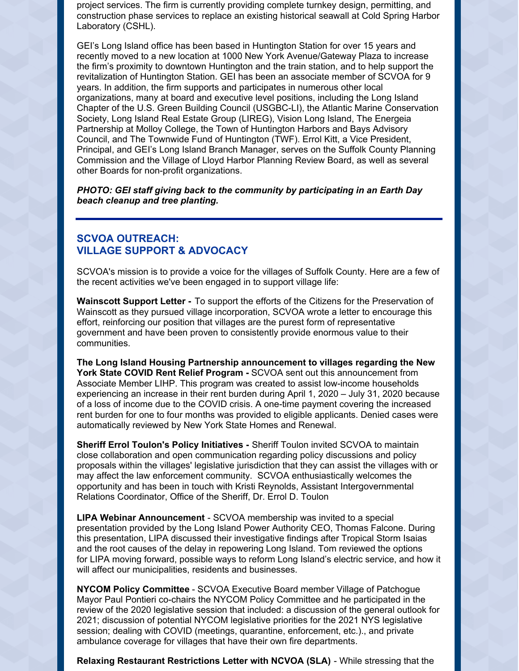project services. The firm is currently providing complete turnkey design, permitting, and construction phase services to replace an existing historical seawall at Cold Spring Harbor Laboratory (CSHL).

GEI's Long Island office has been based in Huntington Station for over 15 years and recently moved to a new location at 1000 New York Avenue/Gateway Plaza to increase the firm's proximity to downtown Huntington and the train station, and to help support the revitalization of Huntington Station. GEI has been an associate member of SCVOA for 9 years. In addition, the firm supports and participates in numerous other local organizations, many at board and executive level positions, including the Long Island Chapter of the U.S. Green Building Council (USGBC-LI), the Atlantic Marine Conservation Society, Long Island Real Estate Group (LIREG), Vision Long Island, The Energeia Partnership at Molloy College, the Town of Huntington Harbors and Bays Advisory Council, and The Townwide Fund of Huntington (TWF). Errol Kitt, a Vice President, Principal, and GEI's Long Island Branch Manager, serves on the Suffolk County Planning Commission and the Village of Lloyd Harbor Planning Review Board, as well as several other Boards for non-profit organizations.

*PHOTO: GEI staff giving back to the community by participating in an Earth Day beach cleanup and tree planting.*

## **SCVOA OUTREACH: VILLAGE SUPPORT & ADVOCACY**

SCVOA's mission is to provide a voice for the villages of Suffolk County. Here are a few of the recent activities we've been engaged in to support village life:

**Wainscott Support Letter -** To support the efforts of the Citizens for the Preservation of Wainscott as they pursued village incorporation, SCVOA wrote a letter to encourage this effort, reinforcing our position that villages are the purest form of representative government and have been proven to consistently provide enormous value to their communities.

**The Long Island Housing Partnership announcement to villages regarding the New York State COVID Rent Relief Program -** SCVOA sent out this announcement from Associate Member LIHP. This program was created to assist low-income households experiencing an increase in their rent burden during April 1, 2020 – July 31, 2020 because of a loss of income due to the COVID crisis. A one-time payment covering the increased rent burden for one to four months was provided to eligible applicants. Denied cases were automatically reviewed by New York State Homes and Renewal.

**Sheriff Errol Toulon's Policy Initiatives -** Sheriff Toulon invited SCVOA to maintain close collaboration and open communication regarding policy discussions and policy proposals within the villages' legislative jurisdiction that they can assist the villages with or may affect the law enforcement community. SCVOA enthusiastically welcomes the opportunity and has been in touch with Kristi Reynolds, Assistant Intergovernmental Relations Coordinator, Office of the Sheriff, Dr. Errol D. Toulon

**LIPA Webinar Announcement** - SCVOA membership was invited to a special presentation provided by the Long Island Power Authority CEO, Thomas Falcone. During this presentation, LIPA discussed their investigative findings after Tropical Storm Isaias and the root causes of the delay in repowering Long Island. Tom reviewed the options for LIPA moving forward, possible ways to reform Long Island's electric service, and how it will affect our municipalities, residents and businesses.

**NYCOM Policy Committee** - SCVOA Executive Board member Village of Patchogue Mayor Paul Pontieri co-chairs the NYCOM Policy Committee and he participated in the review of the 2020 legislative session that included: a discussion of the general outlook for 2021; discussion of potential NYCOM legislative priorities for the 2021 NYS legislative session; dealing with COVID (meetings, quarantine, enforcement, etc.)., and private ambulance coverage for villages that have their own fire departments.

**Relaxing Restaurant Restrictions Letter with NCVOA (SLA)** - While stressing that the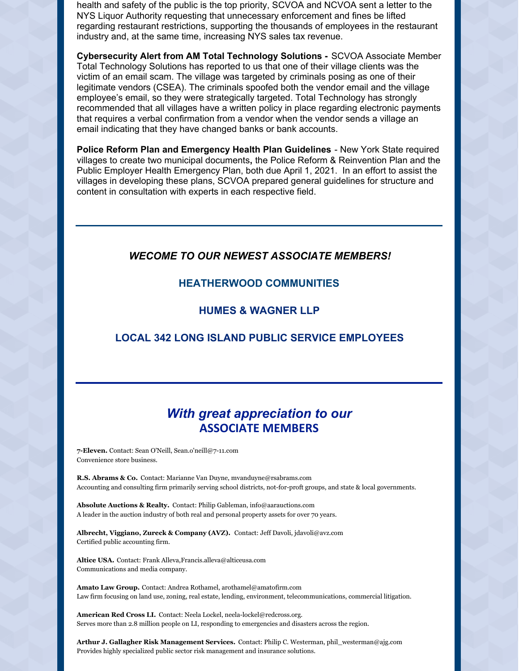health and safety of the public is the top priority, SCVOA and NCVOA sent a letter to the NYS Liquor Authority requesting that unnecessary enforcement and fines be lifted regarding restaurant restrictions, supporting the thousands of employees in the restaurant industry and, at the same time, increasing NYS sales tax revenue.

**Cybersecurity Alert from AM Total Technology Solutions -** SCVOA Associate Member Total Technology Solutions has reported to us that one of their village clients was the victim of an email scam. The village was targeted by criminals posing as one of their legitimate vendors (CSEA). The criminals spoofed both the vendor email and the village employee's email, so they were strategically targeted. Total Technology has strongly recommended that all villages have a written policy in place regarding electronic payments that requires a verbal confirmation from a vendor when the vendor sends a village an email indicating that they have changed banks or bank accounts.

**Police Reform Plan and Emergency Health Plan Guidelines** - New York State required villages to create two municipal documents**,** the Police Reform & Reinvention Plan and the Public Employer Health Emergency Plan, both due April 1, 2021. In an effort to assist the villages in developing these plans, SCVOA prepared general guidelines for structure and content in consultation with experts in each respective field.

## *WECOME TO OUR NEWEST ASSOCIATE MEMBERS!*

### **HEATHERWOOD COMMUNITIES**

## **HUMES & WAGNER LLP**

## **LOCAL 342 LONG ISLAND PUBLIC SERVICE EMPLOYEES**

## *With great appreciation to our* **ASSOCIATE MEMBERS**

**7-Eleven.** Contact: Sean O'Neill, Sean.o'neill@7-11.com Convenience store business.

**R.S. Abrams & Co.** Contact: Marianne Van Duyne, mvanduyne@rsabrams.com Accounting and consulting firm primarily serving school districts, not-for-proft groups, and state & local governments.

**Absolute Auctions & Realty.** Contact: Philip Gableman, info@aarauctions.com A leader in the auction industry of both real and personal property assets for over 70 years.

**Albrecht, Viggiano, Zureck & Company (AVZ).** Contact: Jeff Davoli, jdavoli@avz.com Certified public accounting firm.

**Altice USA.** Contact: Frank Alleva,Francis.alleva@alticeusa.com Communications and media company.

**Amato Law Group.** Contact: Andrea Rothamel, arothamel@amatofirm.com Law firm focusing on land use, zoning, real estate, lending, environment, telecommunications, commercial litigation.

**American Red Cross LI.** Contact: Neela Lockel, neela-lockel@redcross.org. Serves more than 2.8 million people on LI, responding to emergencies and disasters across the region.

**Arthur J. Gallagher Risk Management Services.** Contact: Philip C. Westerman, phil\_westerman@ajg.com Provides highly specialized public sector risk management and insurance solutions.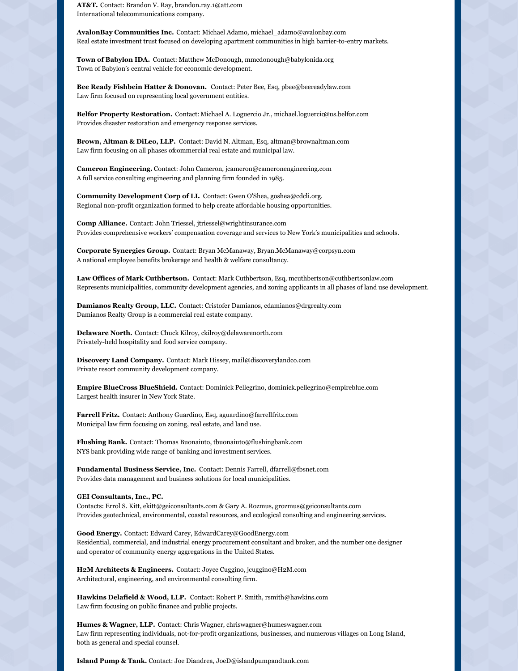**AT&T.** Contact: Brandon V. Ray, brandon.ray.1@att.com International telecommunications company.

**AvalonBay Communities Inc.** Contact: Michael Adamo, michael\_adamo@avalonbay.com Real estate investment trust focused on developing apartment communities in high barrier-to-entry markets.

**Town of Babylon IDA.** Contact: Matthew McDonough, mmcdonough@babylonida.org Town of Babylon's central vehicle for economic development.

**Bee Ready Fishbein Hatter & Donovan.** Contact: Peter Bee, Esq, pbee@beereadylaw.com Law firm focused on representing local government entities.

**Belfor Property Restoration.** Contact: Michael A. Loguercio Jr., michael.loguercia@us.belfor.com Provides disaster restoration and emergency response services.

**Brown, Altman & DiLeo, LLP.** Contact: David N. Altman, Esq, altman@brownaltman.com Law firm focusing on all phases ofcommercial real estate and municipal law.

**Cameron Engineering.** Contact: John Cameron, jcameron@cameronengineering.com A full service consulting engineering and planning firm founded in 1985.

**Community Development Corp of LI.** Contact: Gwen O'Shea, goshea@cdcli.org. Regional non-profit organization formed to help create affordable housing opportunities.

**Comp Alliance.** Contact: John Triessel, jtriessel@wrightinsurance.com Provides comprehensive workers' compensation coverage and services to New York's municipalities and schools.

**Corporate Synergies Group.** Contact: Bryan McManaway, Bryan.McManaway@corpsyn.com A national employee benefits brokerage and health & welfare consultancy.

**Law Offices of Mark Cuthbertson.** Contact: Mark Cuthbertson, Esq, mcuthbertson@cuthbertsonlaw.com Represents municipalities, community development agencies, and zoning applicants in all phases of land use development.

**Damianos Realty Group, LLC.** Contact: Cristofer Damianos, cdamianos@drgrealty.com Damianos Realty Group is a commercial real estate company.

**Delaware North.** Contact: Chuck Kilroy, ckilroy@delawarenorth.com Privately-held hospitality and food service company.

**Discovery Land Company.** Contact: Mark Hissey, mail@discoverylandco.com Private resort community development company.

**Empire BlueCross BlueShield.** Contact: Dominick Pellegrino, dominick.pellegrino@empireblue.com Largest health insurer in New York State.

**Farrell Fritz.** Contact: Anthony Guardino, Esq, aguardino@farrellfritz.com Municipal law firm focusing on zoning, real estate, and land use.

**Flushing Bank.** Contact: Thomas Buonaiuto, tbuonaiuto@flushingbank.com NYS bank providing wide range of banking and investment services.

**Fundamental Business Service, Inc.** Contact: Dennis Farrell, dfarrell@fbsnet.com Provides data management and business solutions for local municipalities.

**GEI Consultants, Inc., PC.**

Contacts: Errol S. Kitt, ekitt@geiconsultants.com & Gary A. Rozmus, grozmus@geiconsultants.com Provides geotechnical, environmental, coastal resources, and ecological consulting and engineering services.

**Good Energy.** Contact: Edward Carey, EdwardCarey@GoodEnergy.com Residential, commercial, and industrial energy procurement consultant and broker, and the number one designer and operator of community energy aggregations in the United States.

**H2M Architects & Engineers.** Contact: Joyce Cuggino, jcuggino@H2M.com Architectural, engineering, and environmental consulting firm.

**Hawkins Delafield & Wood, LLP.** Contact: Robert P. Smith, rsmith@hawkins.com Law firm focusing on public finance and public projects.

**Humes & Wagner, LLP.** Contact: Chris Wagner, chriswagner@humeswagner.com Law firm representing individuals, not-for-profit organizations, businesses, and numerous villages on Long Island, both as general and special counsel.

**Island Pump & Tank.** Contact: Joe Diandrea, JoeD@islandpumpandtank.com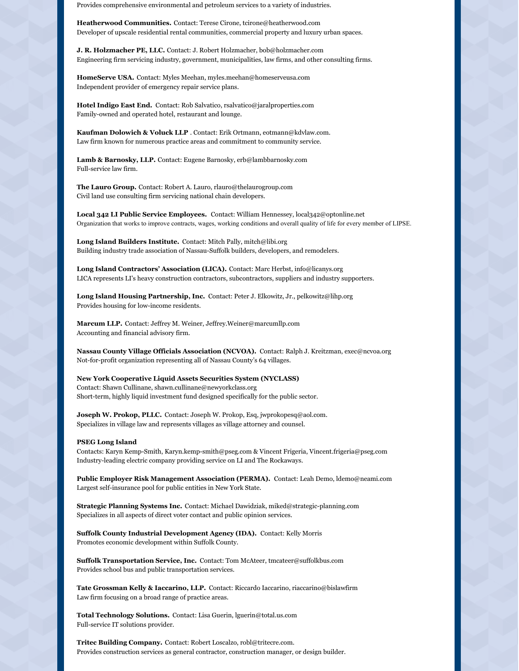Provides comprehensive environmental and petroleum services to a variety of industries.

**Heatherwood Communities.** Contact: Terese Cirone, tcirone@heatherwood.com Developer of upscale residential rental communities, commercial property and luxury urban spaces.

**J. R. Holzmacher PE, LLC.** Contact: J. Robert Holzmacher, bob@holzmacher.com Engineering firm servicing industry, government, municipalities, law firms, and other consulting firms.

**HomeServe USA.** Contact: Myles Meehan, myles.meehan@homeserveusa.com Independent provider of emergency repair service plans.

**Hotel Indigo East End.** Contact: Rob Salvatico, rsalvatico@jaralproperties.com Family-owned and operated hotel, restaurant and lounge.

**Kaufman Dolowich & Voluck LLP** . Contact: Erik Ortmann, eotmann@kdvlaw.com. Law firm known for numerous practice areas and commitment to community service.

**Lamb & Barnosky, LLP.** Contact: Eugene Barnosky, erb@lambbarnosky.com Full-service law firm.

**The Lauro Group.** Contact: Robert A. Lauro, rlauro@thelaurogroup.com Civil land use consulting firm servicing national chain developers.

**Local 342 LI Public Service Employees.** Contact: William Hennessey, local342@optonline.net Organization that works to improve contracts, wages, working conditions and overall quality of life for every member of LIPSE.

**Long Island Builders Institute.** Contact: Mitch Pally, mitch@libi.org Building industry trade association of Nassau-Suffolk builders, developers, and remodelers.

**Long Island Contractors' Association (LICA).** Contact: Marc Herbst, info@licanys.org LICA represents LI's heavy construction contractors, subcontractors, suppliers and industry supporters.

**Long Island Housing Partnership, Inc.** Contact: Peter J. Elkowitz, Jr., pelkowitz@lihp.org Provides housing for low-income residents.

**Marcum LLP.** Contact: Jeffrey M. Weiner, Jeffrey.Weiner@marcumllp.com Accounting and financial advisory firm.

**Nassau County Village Officials Association (NCVOA).** Contact: Ralph J. Kreitzman, exec@ncvoa.org Not-for-profit organization representing all of Nassau County's 64 villages.

**New York Cooperative Liquid Assets Securities System (NYCLASS)** Contact: Shawn Cullinane, shawn.cullinane@newyorkclass.org Short-term, highly liquid investment fund designed specifically for the public sector.

**Joseph W. Prokop, PLLC.** Contact: Joseph W. Prokop, Esq, jwprokopesq@aol.com. Specializes in village law and represents villages as village attorney and counsel.

#### **PSEG Long Island**

Contacts: Karyn Kemp-Smith, Karyn.kemp-smith@pseg.com & Vincent Frigeria, Vincent.frigeria@pseg.com Industry-leading electric company providing service on LI and The Rockaways.

**Public Employer Risk Management Association (PERMA).** Contact: Leah Demo, ldemo@neami.com Largest self-insurance pool for public entities in New York State.

**Strategic Planning Systems Inc.** Contact: Michael Dawidziak, miked@strategic-planning.com Specializes in all aspects of direct voter contact and public opinion services.

**Suffolk County Industrial Development Agency (IDA).** Contact: Kelly Morris Promotes economic development within Suffolk County.

**Suffolk Transportation Service, Inc.** Contact: Tom McAteer, tmcateer@suffolkbus.com Provides school bus and public transportation services.

**Tate Grossman Kelly & Iaccarino, LLP.** Contact: Riccardo Iaccarino, riaccarino@bislawfirm Law firm focusing on a broad range of practice areas.

**Total Technology Solutions.** Contact: Lisa Guerin, lguerin@total.us.com Full-service IT solutions provider.

**Tritec Building Company.** Contact: Robert Loscalzo, robl@tritecre.com. Provides construction services as general contractor, construction manager, or design builder.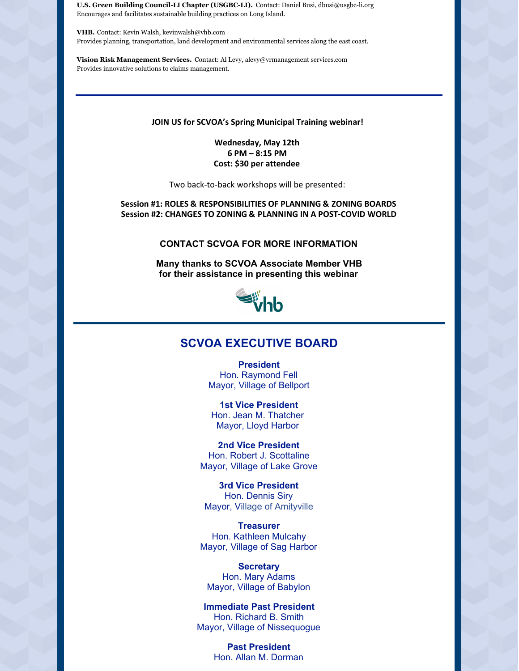**U.S. Green Building Council-LI Chapter (USGBC-LI).** Contact: Daniel Busi, dbusi@usgbc-li.org Encourages and facilitates sustainable building practices on Long Island.

**VHB.** Contact: Kevin Walsh, kevinwalsh@vhb.com Provides planning, transportation, land development and environmental services along the east coast.

**Vision Risk Management Services.** Contact: Al Levy, alevy@vrmanagement services.com Provides innovative solutions to claims management.

#### **JOIN US for SCVOA's Spring Municipal Training webinar!**

**Wednesday, May 12th 6 PM – 8:15 PM Cost: \$30 per attendee**

Two back-to-back workshops will be presented:

**Session #1: ROLES & RESPONSIBILITIES OF PLANNING & ZONING BOARDS Session #2: CHANGES TO ZONING & PLANNING IN A POST-COVID WORLD**

### **CONTACT SCVOA FOR MORE INFORMATION**

**Many thanks to SCVOA Associate Member VHB for their assistance in presenting this webinar**



## **SCVOA EXECUTIVE BOARD**

**President** Hon. Raymond Fell Mayor, Village of Bellport

**1st Vice President** Hon. Jean M. Thatcher Mayor, Lloyd Harbor

**2nd Vice President** Hon. Robert J. Scottaline Mayor, Village of Lake Grove

**3rd Vice President** Hon. Dennis Siry Mayor, Village of Amityville

**Treasurer** Hon. Kathleen Mulcahy Mayor, Village of Sag Harbor

**Secretary** Hon. Mary Adams Mayor, Village of Babylon

**Immediate Past President** Hon. Richard B. Smith Mayor, Village of Nissequogue

> **Past President** Hon. Allan M. Dorman